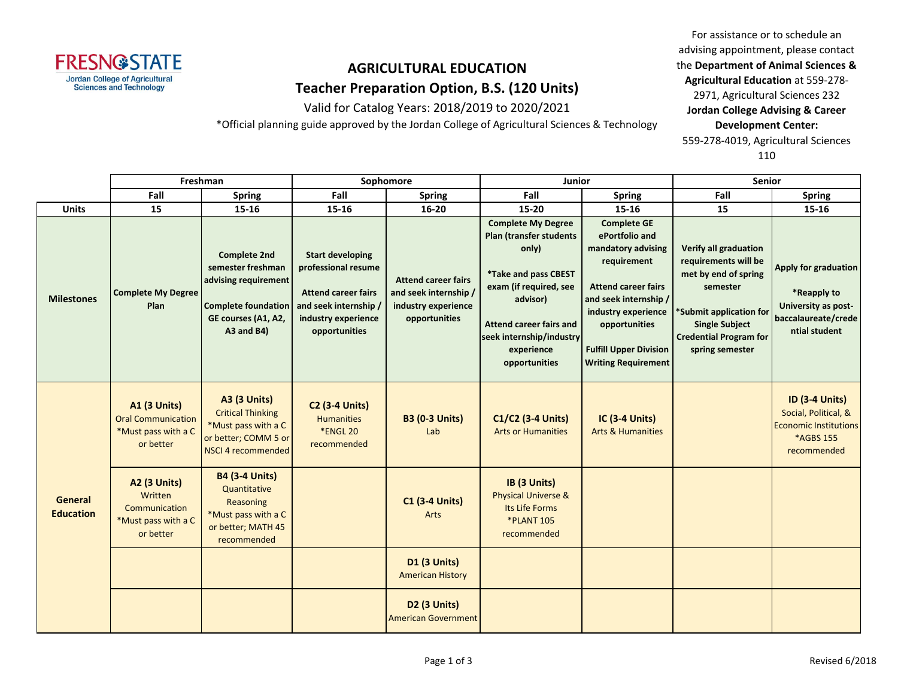

Valid for Catalog Years: 2018/2019 to 2020/2021

\*Official planning guide approved by the Jordan College of Agricultural Sciences & Technology

For assistance or to schedule an advising appointment, please contact the **Department of Animal Sciences & Agricultural Education** at 559-278- 2971, Agricultural Sciences 232 **Jordan College Advising & Career Development Center:** 559-278-4019, Agricultural Sciences 110

|                             | Freshman                                                                             |                                                                                                                                     | Sophomore                                                                                                                                     |                                                                                             | <b>Junior</b>                                                                                                                                                                                                            |                                                                                                                                                                                                                                         | <b>Senior</b>                                                                                                                                                                                    |                                                                                                           |
|-----------------------------|--------------------------------------------------------------------------------------|-------------------------------------------------------------------------------------------------------------------------------------|-----------------------------------------------------------------------------------------------------------------------------------------------|---------------------------------------------------------------------------------------------|--------------------------------------------------------------------------------------------------------------------------------------------------------------------------------------------------------------------------|-----------------------------------------------------------------------------------------------------------------------------------------------------------------------------------------------------------------------------------------|--------------------------------------------------------------------------------------------------------------------------------------------------------------------------------------------------|-----------------------------------------------------------------------------------------------------------|
|                             | Fall                                                                                 | <b>Spring</b>                                                                                                                       | Fall                                                                                                                                          | <b>Spring</b>                                                                               | Fall                                                                                                                                                                                                                     | <b>Spring</b>                                                                                                                                                                                                                           | Fall                                                                                                                                                                                             | <b>Spring</b>                                                                                             |
| <b>Units</b>                | 15                                                                                   | 15-16                                                                                                                               | 15-16                                                                                                                                         | 16-20                                                                                       | $15 - 20$                                                                                                                                                                                                                | $15 - 16$                                                                                                                                                                                                                               | 15                                                                                                                                                                                               | 15-16                                                                                                     |
| <b>Milestones</b>           | <b>Complete My Degree</b><br>Plan                                                    | <b>Complete 2nd</b><br>semester freshman<br>advising requirement<br><b>Complete foundation</b><br>GE courses (A1, A2,<br>A3 and B4) | <b>Start developing</b><br>professional resume<br><b>Attend career fairs</b><br>and seek internship /<br>industry experience<br>opportunities | <b>Attend career fairs</b><br>and seek internship /<br>industry experience<br>opportunities | <b>Complete My Degree</b><br><b>Plan (transfer students</b><br>only)<br>*Take and pass CBEST<br>exam (if required, see<br>advisor)<br>Attend career fairs and<br>seek internship/industry<br>experience<br>opportunities | <b>Complete GE</b><br>ePortfolio and<br>mandatory advising<br>requirement<br><b>Attend career fairs</b><br>and seek internship /<br>industry experience<br>opportunities<br><b>Fulfill Upper Division</b><br><b>Writing Requirement</b> | <b>Verify all graduation</b><br>requirements will be<br>met by end of spring<br>semester<br>*Submit application for<br><b>Single Subject</b><br><b>Credential Program for</b><br>spring semester | Apply for graduation<br>*Reapply to<br>University as post-<br>baccalaureate/crede<br>ntial student        |
| General<br><b>Education</b> | <b>A1 (3 Units)</b><br><b>Oral Communication</b><br>*Must pass with a C<br>or better | <b>A3 (3 Units)</b><br><b>Critical Thinking</b><br>*Must pass with a C<br>or better; COMM 5 or<br>NSCI 4 recommended                | <b>C2 (3-4 Units)</b><br><b>Humanities</b><br><b>*ENGL 20</b><br>recommended                                                                  | <b>B3 (0-3 Units)</b><br>Lab                                                                | C1/C2 (3-4 Units)<br><b>Arts or Humanities</b>                                                                                                                                                                           | IC (3-4 Units)<br><b>Arts &amp; Humanities</b>                                                                                                                                                                                          |                                                                                                                                                                                                  | <b>ID (3-4 Units)</b><br>Social, Political, &<br><b>Economic Institutions</b><br>*AGBS 155<br>recommended |
|                             | <b>A2 (3 Units)</b><br>Written<br>Communication<br>*Must pass with a C<br>or better  | <b>B4 (3-4 Units)</b><br>Quantitative<br>Reasoning<br>*Must pass with a C<br>or better; MATH 45<br>recommended                      |                                                                                                                                               | <b>C1 (3-4 Units)</b><br>Arts                                                               | IB (3 Units)<br><b>Physical Universe &amp;</b><br>Its Life Forms<br><b>*PLANT 105</b><br>recommended                                                                                                                     |                                                                                                                                                                                                                                         |                                                                                                                                                                                                  |                                                                                                           |
|                             |                                                                                      |                                                                                                                                     |                                                                                                                                               | D1 (3 Units)<br><b>American History</b>                                                     |                                                                                                                                                                                                                          |                                                                                                                                                                                                                                         |                                                                                                                                                                                                  |                                                                                                           |
|                             |                                                                                      |                                                                                                                                     |                                                                                                                                               | D <sub>2</sub> (3 Units)<br><b>American Government</b>                                      |                                                                                                                                                                                                                          |                                                                                                                                                                                                                                         |                                                                                                                                                                                                  |                                                                                                           |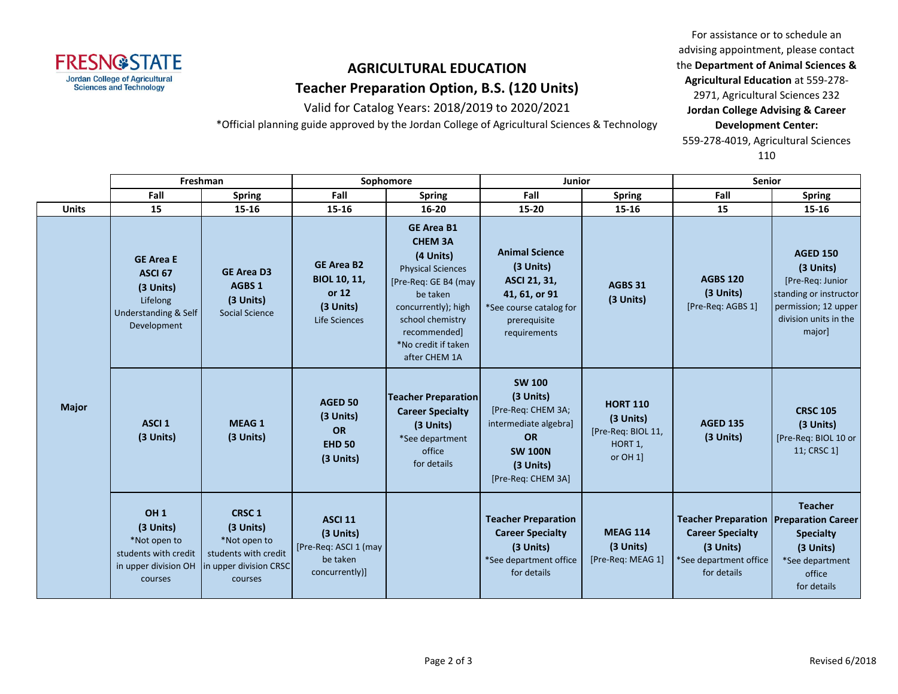

Valid for Catalog Years: 2018/2019 to 2020/2021

\*Official planning guide approved by the Jordan College of Agricultural Sciences & Technology

For assistance or to schedule an advising appointment, please contact the **Department of Animal Sciences & Agricultural Education** at 559-278- 2971, Agricultural Sciences 232 **Jordan College Advising & Career Development Center:** 559-278-4019, Agricultural Sciences 110

|              | Freshman                                                                                                            |                                                                                                        | Sophomore                                                                          |                                                                                                                                                                                                                     | <b>Junior</b>                                                                                                                               |                                                                             | <b>Senior</b>                                                                                                                  |                                                                                                                                       |
|--------------|---------------------------------------------------------------------------------------------------------------------|--------------------------------------------------------------------------------------------------------|------------------------------------------------------------------------------------|---------------------------------------------------------------------------------------------------------------------------------------------------------------------------------------------------------------------|---------------------------------------------------------------------------------------------------------------------------------------------|-----------------------------------------------------------------------------|--------------------------------------------------------------------------------------------------------------------------------|---------------------------------------------------------------------------------------------------------------------------------------|
|              | Fall                                                                                                                | <b>Spring</b>                                                                                          | Fall                                                                               | <b>Spring</b>                                                                                                                                                                                                       | Fall                                                                                                                                        | <b>Spring</b>                                                               | Fall                                                                                                                           | <b>Spring</b>                                                                                                                         |
| <b>Units</b> | 15                                                                                                                  | $15 - 16$                                                                                              | 15-16                                                                              | $16 - 20$                                                                                                                                                                                                           | $15 - 20$                                                                                                                                   | 15-16                                                                       | 15                                                                                                                             | $15 - 16$                                                                                                                             |
| <b>Major</b> | <b>GE Area E</b><br>ASCI <sub>67</sub><br>$(3$ Units)<br>Lifelong<br><b>Understanding &amp; Self</b><br>Development | <b>GE Area D3</b><br>AGBS 1<br>(3 Units)<br><b>Social Science</b>                                      | <b>GE Area B2</b><br><b>BIOL 10, 11,</b><br>or 12<br>(3 Units)<br>Life Sciences    | <b>GE Area B1</b><br><b>CHEM 3A</b><br>(4 Units)<br><b>Physical Sciences</b><br>[Pre-Req: GE B4 (may<br>be taken<br>concurrently); high<br>school chemistry<br>recommended]<br>*No credit if taken<br>after CHEM 1A | <b>Animal Science</b><br>(3 Units)<br>ASCI 21, 31,<br>41, 61, or 91<br>*See course catalog for<br>prerequisite<br>requirements              | AGBS 31<br>(3 Units)                                                        | <b>AGBS 120</b><br>(3 Units)<br>[Pre-Req: AGBS 1]                                                                              | <b>AGED 150</b><br>(3 Units)<br>[Pre-Req: Junior<br>standing or instructor<br>permission; 12 upper<br>division units in the<br>major] |
|              | ASCI <sub>1</sub><br>(3 Units)                                                                                      | <b>MEAG1</b><br>(3 Units)                                                                              | <b>AGED 50</b><br>(3 Units)<br><b>OR</b><br><b>EHD 50</b><br>(3 Units)             | <b>Teacher Preparation</b><br><b>Career Specialty</b><br>(3 Units)<br>*See department<br>office<br>for details                                                                                                      | <b>SW 100</b><br>(3 Units)<br>[Pre-Req: CHEM 3A;<br>intermediate algebra]<br><b>OR</b><br><b>SW 100N</b><br>(3 Units)<br>[Pre-Req: CHEM 3A] | <b>HORT 110</b><br>$(3$ Units)<br>[Pre-Req: BIOL 11,<br>HORT 1,<br>or OH 1] | <b>AGED 135</b><br>(3 Units)                                                                                                   | <b>CRSC 105</b><br>(3 Units)<br>[Pre-Req: BIOL 10 or<br>11; CRSC 1]                                                                   |
|              | OH <sub>1</sub><br>(3 Units)<br>*Not open to<br>students with credit<br>in upper division OH<br>courses             | <b>CRSC1</b><br>(3 Units)<br>*Not open to<br>students with credit<br>in upper division CRSC<br>courses | <b>ASCI 11</b><br>(3 Units)<br>[Pre-Req: ASCI 1 (may<br>be taken<br>concurrently)] |                                                                                                                                                                                                                     | <b>Teacher Preparation</b><br><b>Career Specialty</b><br>(3 Units)<br>*See department office<br>for details                                 | <b>MEAG 114</b><br>(3 Units)<br>[Pre-Req: MEAG 1]                           | <b>Teacher Preparation Preparation Career</b><br><b>Career Specialty</b><br>(3 Units)<br>*See department office<br>for details | <b>Teacher</b><br><b>Specialty</b><br>(3 Units)<br>*See department<br>office<br>for details                                           |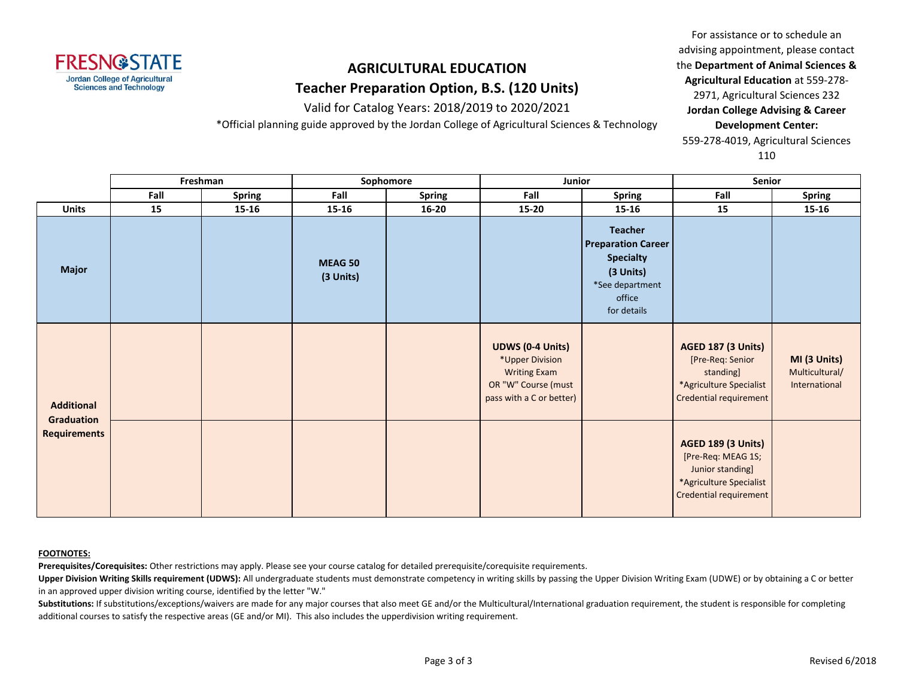

Valid for Catalog Years: 2018/2019 to 2020/2021

\*Official planning guide approved by the Jordan College of Agricultural Sciences & Technology

For assistance or to schedule an advising appointment, please contact the **Department of Animal Sciences & Agricultural Education** at 559-278- 2971, Agricultural Sciences 232 **Jordan College Advising & Career Development Center:** 559-278-4019, Agricultural Sciences 110

|                                                        | Freshman |               | Sophomore            |               | Junior                                                                                                               |                                                                                                                          | Senior                                                                                                                   |                                                 |
|--------------------------------------------------------|----------|---------------|----------------------|---------------|----------------------------------------------------------------------------------------------------------------------|--------------------------------------------------------------------------------------------------------------------------|--------------------------------------------------------------------------------------------------------------------------|-------------------------------------------------|
|                                                        | Fall     | <b>Spring</b> | Fall                 | <b>Spring</b> | Fall                                                                                                                 | <b>Spring</b>                                                                                                            | Fall                                                                                                                     | <b>Spring</b>                                   |
| <b>Units</b>                                           | 15       | 15-16         | 15-16                | $16 - 20$     | 15-20                                                                                                                | 15-16                                                                                                                    | 15                                                                                                                       | $15 - 16$                                       |
| <b>Major</b>                                           |          |               | MEAG 50<br>(3 Units) |               |                                                                                                                      | <b>Teacher</b><br><b>Preparation Career</b><br><b>Specialty</b><br>(3 Units)<br>*See department<br>office<br>for details |                                                                                                                          |                                                 |
| <b>Additional</b><br>Graduation<br><b>Requirements</b> |          |               |                      |               | <b>UDWS (0-4 Units)</b><br>*Upper Division<br><b>Writing Exam</b><br>OR "W" Course (must<br>pass with a C or better) |                                                                                                                          | <b>AGED 187 (3 Units)</b><br>[Pre-Req: Senior<br>standing]<br>*Agriculture Specialist<br>Credential requirement          | MI (3 Units)<br>Multicultural/<br>International |
|                                                        |          |               |                      |               |                                                                                                                      |                                                                                                                          | <b>AGED 189 (3 Units)</b><br>[Pre-Req: MEAG 1S;<br>Junior standing]<br>*Agriculture Specialist<br>Credential requirement |                                                 |

#### **FOOTNOTES:**

**Prerequisites/Corequisites:** Other restrictions may apply. Please see your course catalog for detailed prerequisite/corequisite requirements.

Upper Division Writing Skills requirement (UDWS): All undergraduate students must demonstrate competency in writing skills by passing the Upper Division Writing Exam (UDWE) or by obtaining a C or better in an approved upper division writing course, identified by the letter "W."

Substitutions: If substitutions/exceptions/waivers are made for any major courses that also meet GE and/or the Multicultural/International graduation requirement, the student is responsible for completing additional courses to satisfy the respective areas (GE and/or MI). This also includes the upperdivision writing requirement.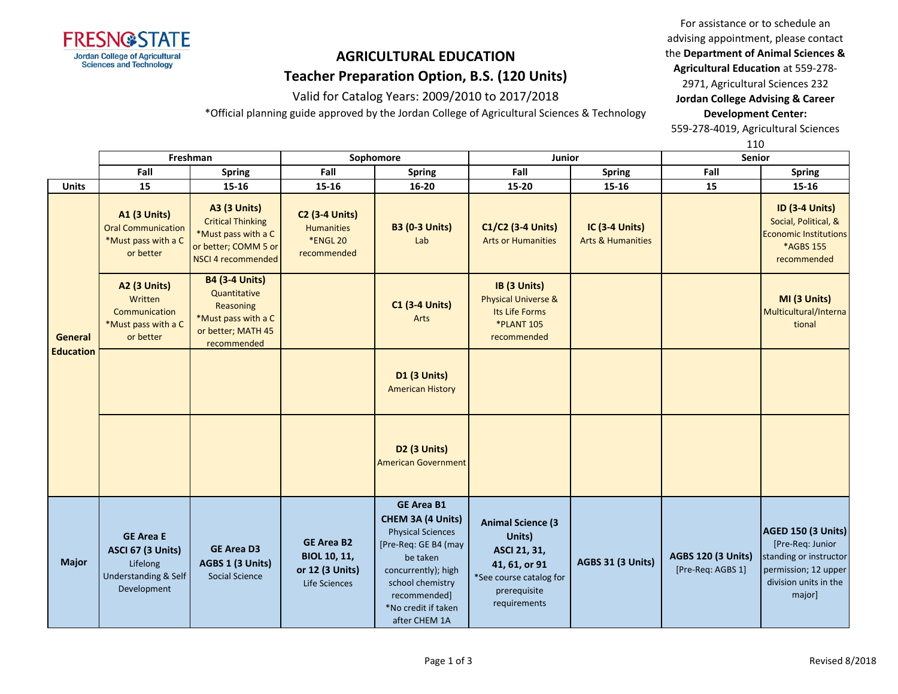

Valid for Catalog Years: 2009/2010 to 2017/2018

\*Official planning guide approved by the Jordan College of Agricultural Sciences & Technology

For assistance or to schedule an advising appointment, please contact the **Department of Animal Sciences & Agricultural Education** at 559-278- 2971, Agricultural Sciences 232

**Jordan College Advising & Career Development Center:**

559-278-4019, Agricultural Sciences

110

|                             |                                                                                          | Freshman                                                                                                             |                                                                              | Sophomore                                                                                                                                                                                                 | Junior                                                                                                                         |                                                       | <b>Senior</b>                                  |                                                                                                                             |
|-----------------------------|------------------------------------------------------------------------------------------|----------------------------------------------------------------------------------------------------------------------|------------------------------------------------------------------------------|-----------------------------------------------------------------------------------------------------------------------------------------------------------------------------------------------------------|--------------------------------------------------------------------------------------------------------------------------------|-------------------------------------------------------|------------------------------------------------|-----------------------------------------------------------------------------------------------------------------------------|
|                             | Fall                                                                                     | <b>Spring</b>                                                                                                        | Fall                                                                         | <b>Spring</b>                                                                                                                                                                                             | Fall                                                                                                                           | <b>Spring</b>                                         | Fall                                           | <b>Spring</b>                                                                                                               |
| <b>Units</b>                | 15                                                                                       | 15-16                                                                                                                | $15 - 16$                                                                    | 16-20                                                                                                                                                                                                     | 15-20                                                                                                                          | 15-16                                                 | 15                                             | 15-16                                                                                                                       |
| General<br><b>Education</b> | <b>A1 (3 Units)</b><br><b>Oral Communication</b><br>*Must pass with a C<br>or better     | <b>A3 (3 Units)</b><br><b>Critical Thinking</b><br>*Must pass with a C<br>or better; COMM 5 or<br>NSCI 4 recommended | <b>C2 (3-4 Units)</b><br><b>Humanities</b><br><b>*ENGL 20</b><br>recommended | <b>B3 (0-3 Units)</b><br>Lab                                                                                                                                                                              | C1/C2 (3-4 Units)<br><b>Arts or Humanities</b>                                                                                 | <b>IC (3-4 Units)</b><br><b>Arts &amp; Humanities</b> |                                                | <b>ID (3-4 Units)</b><br>Social, Political, &<br><b>Economic Institutions</b><br>*AGBS 155<br>recommended                   |
|                             | <b>A2 (3 Units)</b><br>Written<br>Communication<br>*Must pass with a C<br>or better      | <b>B4 (3-4 Units)</b><br>Quantitative<br>Reasoning<br>*Must pass with a C<br>or better; MATH 45<br>recommended       |                                                                              | <b>C1 (3-4 Units)</b><br>Arts                                                                                                                                                                             | IB (3 Units)<br><b>Physical Universe &amp;</b><br>Its Life Forms<br><b>*PLANT 105</b><br>recommended                           |                                                       |                                                | MI (3 Units)<br>Multicultural/Interna<br>tional                                                                             |
|                             |                                                                                          |                                                                                                                      |                                                                              | D1 (3 Units)<br><b>American History</b>                                                                                                                                                                   |                                                                                                                                |                                                       |                                                |                                                                                                                             |
|                             |                                                                                          |                                                                                                                      |                                                                              | <b>D2 (3 Units)</b><br><b>American Government</b>                                                                                                                                                         |                                                                                                                                |                                                       |                                                |                                                                                                                             |
| <b>Major</b>                | <b>GE Area E</b><br>ASCI 67 (3 Units)<br>Lifelong<br>Understanding & Self<br>Development | <b>GE Area D3</b><br>AGBS 1 (3 Units)<br><b>Social Science</b>                                                       | <b>GE Area B2</b><br><b>BIOL 10, 11,</b><br>or 12 (3 Units)<br>Life Sciences | <b>GE Area B1</b><br>CHEM 3A (4 Units)<br><b>Physical Sciences</b><br>[Pre-Req: GE B4 (may<br>be taken<br>concurrently); high<br>school chemistry<br>recommended]<br>*No credit if taken<br>after CHEM 1A | <b>Animal Science (3</b><br>Units)<br>ASCI 21, 31,<br>41, 61, or 91<br>*See course catalog for<br>prerequisite<br>requirements | <b>AGBS 31 (3 Units)</b>                              | <b>AGBS 120 (3 Units)</b><br>[Pre-Req: AGBS 1] | AGED 150 (3 Units)<br>[Pre-Req: Junior<br>standing or instructor<br>permission; 12 upper<br>division units in the<br>major] |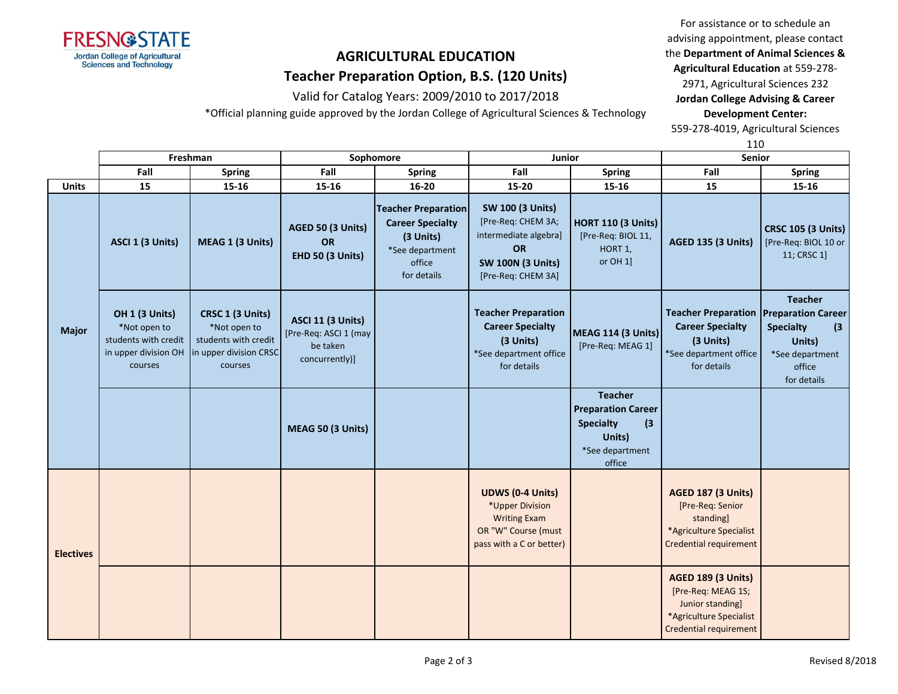

Valid for Catalog Years: 2009/2010 to 2017/2018

\*Official planning guide approved by the Jordan College of Agricultural Sciences & Technology

For assistance or to schedule an advising appointment, please contact the **Department of Animal Sciences & Agricultural Education** at 559-278-

2971, Agricultural Sciences 232 **Jordan College Advising & Career Development Center:**

559-278-4019, Agricultural Sciences

110

|                  | Freshman                                                                                  |                                                                                               | Sophomore                                                                       |                                                                                                                | Junior                                                                                                                                |                                                                                                               | Senior                                                                                                                          |                                                                                                 |
|------------------|-------------------------------------------------------------------------------------------|-----------------------------------------------------------------------------------------------|---------------------------------------------------------------------------------|----------------------------------------------------------------------------------------------------------------|---------------------------------------------------------------------------------------------------------------------------------------|---------------------------------------------------------------------------------------------------------------|---------------------------------------------------------------------------------------------------------------------------------|-------------------------------------------------------------------------------------------------|
|                  | Fall                                                                                      | <b>Spring</b>                                                                                 | Fall                                                                            | <b>Spring</b>                                                                                                  | Fall                                                                                                                                  | <b>Spring</b>                                                                                                 | Fall                                                                                                                            | <b>Spring</b>                                                                                   |
| <b>Units</b>     | 15                                                                                        | $15 - 16$                                                                                     | $15 - 16$                                                                       | $16 - 20$                                                                                                      | 15-20                                                                                                                                 | 15-16                                                                                                         | 15                                                                                                                              | $15 - 16$                                                                                       |
| <b>Major</b>     | ASCI 1 (3 Units)                                                                          | MEAG 1 (3 Units)                                                                              | AGED 50 (3 Units)<br>OR<br>EHD 50 (3 Units)                                     | <b>Teacher Preparation</b><br><b>Career Specialty</b><br>(3 Units)<br>*See department<br>office<br>for details | <b>SW 100 (3 Units)</b><br>[Pre-Req: CHEM 3A;<br>intermediate algebra]<br><b>OR</b><br><b>SW 100N (3 Units)</b><br>[Pre-Req: CHEM 3A] | <b>HORT 110 (3 Units)</b><br>[Pre-Req: BIOL 11,<br>HORT 1,<br>or OH 1]                                        | <b>AGED 135 (3 Units)</b>                                                                                                       | <b>CRSC 105 (3 Units)</b><br>[Pre-Req: BIOL 10 or<br>11; CRSC 1]                                |
|                  | OH 1 (3 Units)<br>*Not open to<br>students with credit<br>in upper division OH<br>courses | CRSC 1 (3 Units)<br>*Not open to<br>students with credit<br>in upper division CRSC<br>courses | <b>ASCI 11 (3 Units)</b><br>[Pre-Req: ASCI 1 (may<br>be taken<br>concurrently)] |                                                                                                                | <b>Teacher Preparation</b><br><b>Career Specialty</b><br>(3 Units)<br>*See department office<br>for details                           | <b>MEAG 114 (3 Units)</b><br>[Pre-Req: MEAG 1]                                                                | <b>Teacher Preparation Preparation Career</b><br><b>Career Specialty</b><br>(3 Units)<br>*See department office<br>for details  | <b>Teacher</b><br><b>Specialty</b><br>(3)<br>Units)<br>*See department<br>office<br>for details |
|                  |                                                                                           |                                                                                               | MEAG 50 (3 Units)                                                               |                                                                                                                |                                                                                                                                       | <b>Teacher</b><br><b>Preparation Career</b><br><b>Specialty</b><br>(3)<br>Units)<br>*See department<br>office |                                                                                                                                 |                                                                                                 |
| <b>Electives</b> |                                                                                           |                                                                                               |                                                                                 |                                                                                                                | <b>UDWS (0-4 Units)</b><br>*Upper Division<br><b>Writing Exam</b><br>OR "W" Course (must<br>pass with a C or better)                  |                                                                                                               | <b>AGED 187 (3 Units)</b><br>[Pre-Req: Senior<br>standing]<br>*Agriculture Specialist<br>Credential requirement                 |                                                                                                 |
|                  |                                                                                           |                                                                                               |                                                                                 |                                                                                                                |                                                                                                                                       |                                                                                                               | <b>AGED 189 (3 Units)</b><br>[Pre-Req: MEAG 1S;<br>Junior standing]<br>*Agriculture Specialist<br><b>Credential requirement</b> |                                                                                                 |